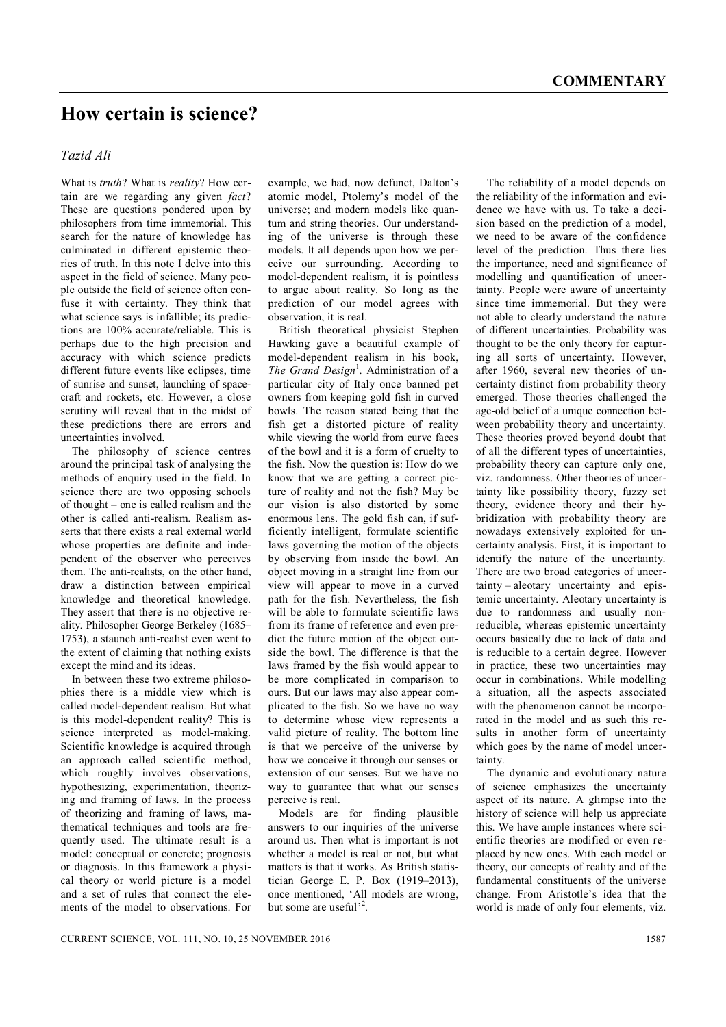## **How certain is science?**

## *Tazid Ali*

What is *truth*? What is *reality*? How certain are we regarding any given *fact*? These are questions pondered upon by philosophers from time immemorial. This search for the nature of knowledge has culminated in different epistemic theories of truth. In this note I delve into this aspect in the field of science. Many people outside the field of science often confuse it with certainty. They think that what science says is infallible; its predictions are 100% accurate/reliable. This is perhaps due to the high precision and accuracy with which science predicts different future events like eclipses, time of sunrise and sunset, launching of spacecraft and rockets, etc. However, a close scrutiny will reveal that in the midst of these predictions there are errors and uncertainties involved.

The philosophy of science centres around the principal task of analysing the methods of enquiry used in the field. In science there are two opposing schools of thought – one is called realism and the other is called anti-realism. Realism asserts that there exists a real external world whose properties are definite and independent of the observer who perceives them. The anti-realists, on the other hand draw a distinction between empirical knowledge and theoretical knowledge. They assert that there is no objective reality. Philosopher George Berkeley (1685– 1753), a staunch anti-realist even went to the extent of claiming that nothing exists except the mind and its ideas.

In between these two extreme philosophies there is a middle view which is called model-dependent realism. But what is this model-dependent reality? This is science interpreted as model-making. Scientific knowledge is acquired through an approach called scientific method, which roughly involves observations, hypothesizing, experimentation, theorizing and framing of laws. In the process of theorizing and framing of laws, mathematical techniques and tools are frequently used. The ultimate result is a model: conceptual or concrete; prognosis or diagnosis. In this framework a physical theory or world picture is a model and a set of rules that connect the elements of the model to observations. For example, we had, now defunct, Dalton's atomic model, Ptolemy's model of the universe; and modern models like quantum and string theories. Our understanding of the universe is through these models. It all depends upon how we perceive our surrounding. According to model-dependent realism, it is pointless to argue about reality. So long as the prediction of our model agrees with observation, it is real.

British theoretical physicist Stephen Hawking gave a beautiful example of model-dependent realism in his book, The Grand Design<sup>1</sup>. Administration of a particular city of Italy once banned pet owners from keeping gold fish in curved bowls. The reason stated being that the fish get a distorted picture of reality while viewing the world from curve faces of the bowl and it is a form of cruelty to the fish. Now the question is: How do we know that we are getting a correct picture of reality and not the fish? May be our vision is also distorted by some enormous lens. The gold fish can, if sufficiently intelligent, formulate scientific laws governing the motion of the objects by observing from inside the bowl. An object moving in a straight line from our view will appear to move in a curved path for the fish. Nevertheless, the fish will be able to formulate scientific laws from its frame of reference and even predict the future motion of the object outside the bowl. The difference is that the laws framed by the fish would appear to be more complicated in comparison to ours. But our laws may also appear complicated to the fish. So we have no way to determine whose view represents a valid picture of reality. The bottom line is that we perceive of the universe by how we conceive it through our senses or extension of our senses. But we have no way to guarantee that what our senses perceive is real.

Models are for finding plausible answers to our inquiries of the universe around us. Then what is important is not whether a model is real or not, but what matters is that it works. As British statistician George E. P. Box (1919–2013), once mentioned, 'All models are wrong, but some are useful<sup>'2</sup>.

The reliability of a model depends on the reliability of the information and evidence we have with us. To take a decision based on the prediction of a model, we need to be aware of the confidence level of the prediction. Thus there lies the importance, need and significance of modelling and quantification of uncertainty. People were aware of uncertainty since time immemorial. But they were not able to clearly understand the nature of different uncertainties. Probability was thought to be the only theory for capturing all sorts of uncertainty. However, after 1960, several new theories of uncertainty distinct from probability theory emerged. Those theories challenged the age-old belief of a unique connection between probability theory and uncertainty. These theories proved beyond doubt that of all the different types of uncertainties, probability theory can capture only one, viz. randomness. Other theories of uncertainty like possibility theory, fuzzy set theory, evidence theory and their hybridization with probability theory are nowadays extensively exploited for uncertainty analysis. First, it is important to identify the nature of the uncertainty. There are two broad categories of uncertainty – aleotary uncertainty and epistemic uncertainty. Aleotary uncertainty is due to randomness and usually nonreducible, whereas epistemic uncertainty occurs basically due to lack of data and is reducible to a certain degree. However in practice, these two uncertainties may occur in combinations. While modelling a situation, all the aspects associated with the phenomenon cannot be incorporated in the model and as such this results in another form of uncertainty which goes by the name of model uncertainty.

The dynamic and evolutionary nature of science emphasizes the uncertainty aspect of its nature. A glimpse into the history of science will help us appreciate this. We have ample instances where scientific theories are modified or even replaced by new ones. With each model or theory, our concepts of reality and of the fundamental constituents of the universe change. From Aristotle's idea that the world is made of only four elements, viz.